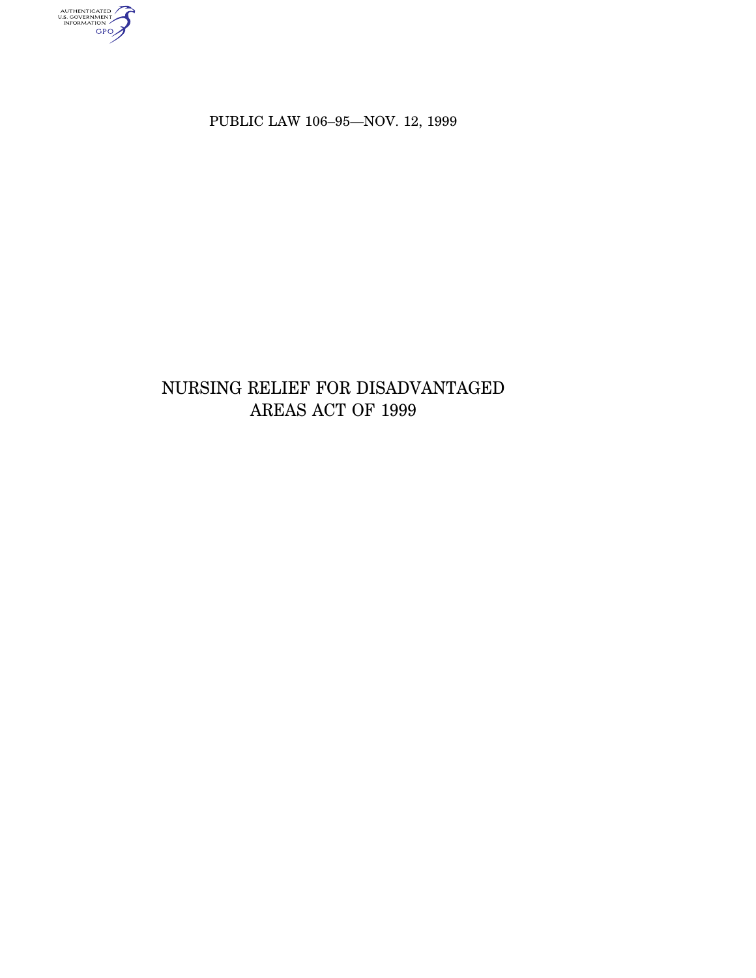authenticated<br>u.s. government<br>information<br>GPO

PUBLIC LAW 106–95—NOV. 12, 1999

# NURSING RELIEF FOR DISADVANTAGED AREAS ACT OF 1999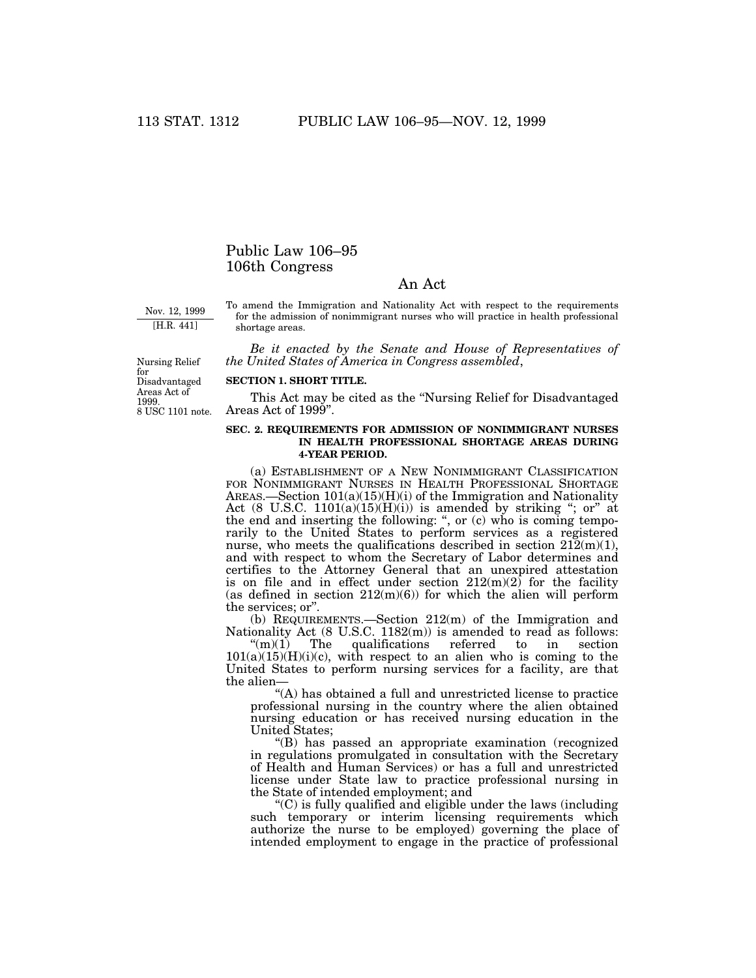# Public Law 106–95 106th Congress

# An Act

Nov. 12, 1999 [H.R. 441]

To amend the Immigration and Nationality Act with respect to the requirements for the admission of nonimmigrant nurses who will practice in health professional shortage areas.

*Be it enacted by the Senate and House of Representatives of the United States of America in Congress assembled*,

8 USC 1101 note. Nursing Relief for Disadvantaged Areas Act of 1999.

## **SECTION 1. SHORT TITLE.**

This Act may be cited as the ''Nursing Relief for Disadvantaged Areas Act of 1999''.

#### **SEC. 2. REQUIREMENTS FOR ADMISSION OF NONIMMIGRANT NURSES IN HEALTH PROFESSIONAL SHORTAGE AREAS DURING 4-YEAR PERIOD.**

(a) ESTABLISHMENT OF A NEW NONIMMIGRANT CLASSIFICATION FOR NONIMMIGRANT NURSES IN HEALTH PROFESSIONAL SHORTAGE AREAS.—Section 101(a)(15)(H)(i) of the Immigration and Nationality Act (8 U.S.C.  $1101(a)(15)(H)(i)$ ) is amended by striking "; or" at the end and inserting the following: ", or (c) who is coming temporarily to the United States to perform services as a registered nurse, who meets the qualifications described in section  $212(m)(1)$ , and with respect to whom the Secretary of Labor determines and certifies to the Attorney General that an unexpired attestation is on file and in effect under section  $212(m)(2)$  for the facility (as defined in section  $212(m)(6)$ ) for which the alien will perform the services; or''.

(b) REQUIREMENTS.—Section 212(m) of the Immigration and Nationality Act (8 U.S.C. 1182(m)) is amended to read as follows:

 $(m)(1)$  The qualifications referred to in section  $101(a)(15)(H)(i)(c)$ , with respect to an alien who is coming to the United States to perform nursing services for a facility, are that the alien-

''(A) has obtained a full and unrestricted license to practice professional nursing in the country where the alien obtained nursing education or has received nursing education in the United States;

''(B) has passed an appropriate examination (recognized in regulations promulgated in consultation with the Secretary of Health and Human Services) or has a full and unrestricted license under State law to practice professional nursing in the State of intended employment; and

 $C$ ) is fully qualified and eligible under the laws (including such temporary or interim licensing requirements which authorize the nurse to be employed) governing the place of intended employment to engage in the practice of professional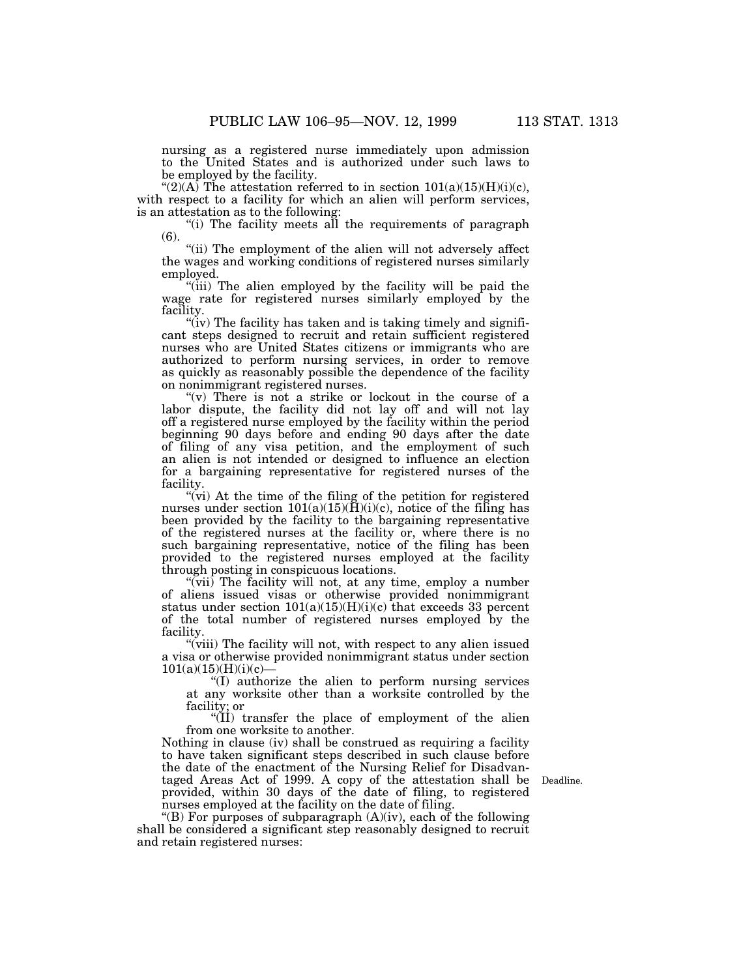nursing as a registered nurse immediately upon admission to the United States and is authorized under such laws to be employed by the facility.

" $(2)(A)$  The attestation referred to in section  $101(a)(15)(H)(i)(c)$ , with respect to a facility for which an alien will perform services, is an attestation as to the following:

"(i) The facility meets all the requirements of paragraph (6).

"(ii) The employment of the alien will not adversely affect the wages and working conditions of registered nurses similarly employed.

"(iii) The alien employed by the facility will be paid the wage rate for registered nurses similarly employed by the facility.

 $\langle \hat{f}(v) \rangle$  The facility has taken and is taking timely and significant steps designed to recruit and retain sufficient registered nurses who are United States citizens or immigrants who are authorized to perform nursing services, in order to remove as quickly as reasonably possible the dependence of the facility on nonimmigrant registered nurses.

"(v) There is not a strike or lockout in the course of a labor dispute, the facility did not lay off and will not lay off a registered nurse employed by the facility within the period beginning 90 days before and ending 90 days after the date of filing of any visa petition, and the employment of such an alien is not intended or designed to influence an election for a bargaining representative for registered nurses of the facility.

"(vi) At the time of the filing of the petition for registered nurses under section  $101(a)(15)(H)(i)(c)$ , notice of the filing has been provided by the facility to the bargaining representative of the registered nurses at the facility or, where there is no such bargaining representative, notice of the filing has been provided to the registered nurses employed at the facility through posting in conspicuous locations.

"(vii) The facility will not, at any time, employ a number of aliens issued visas or otherwise provided nonimmigrant status under section 101(a)(15)(H)(i)(c) that exceeds 33 percent of the total number of registered nurses employed by the facility.

"(viii) The facility will not, with respect to any alien issued a visa or otherwise provided nonimmigrant status under section  $101(a)(15)(H)(i)(c)$ 

''(I) authorize the alien to perform nursing services at any worksite other than a worksite controlled by the facility; or

''(II) transfer the place of employment of the alien from one worksite to another.

Nothing in clause (iv) shall be construed as requiring a facility to have taken significant steps described in such clause before the date of the enactment of the Nursing Relief for Disadvantaged Areas Act of 1999. A copy of the attestation shall be provided, within 30 days of the date of filing, to registered nurses employed at the facility on the date of filing.

"(B) For purposes of subparagraph  $(A)(iv)$ , each of the following shall be considered a significant step reasonably designed to recruit and retain registered nurses:

Deadline.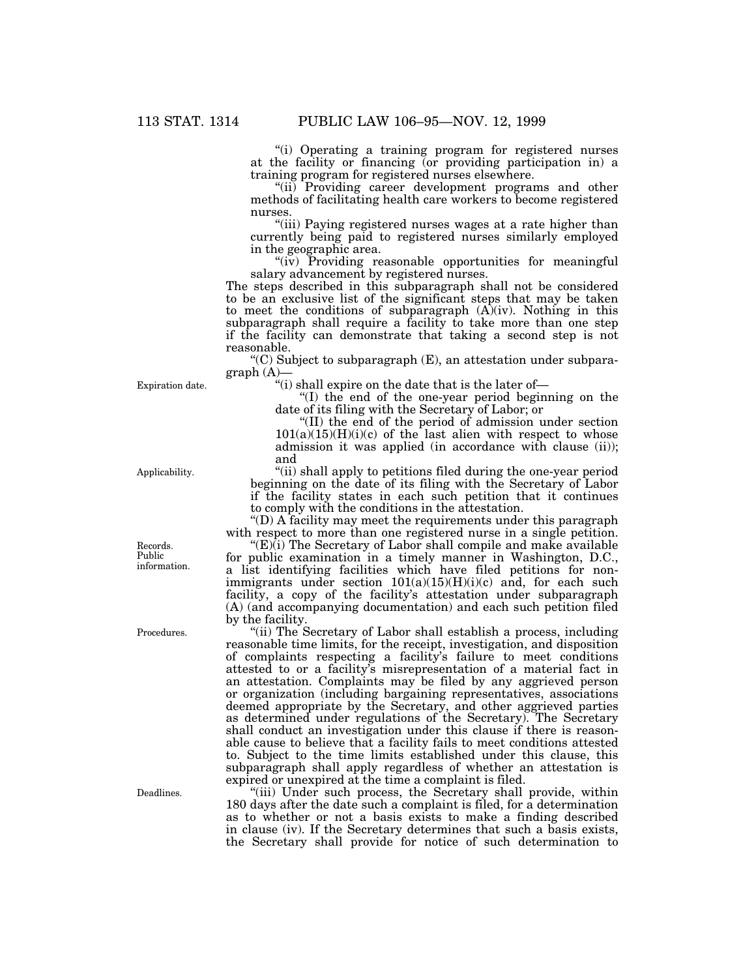''(i) Operating a training program for registered nurses at the facility or financing (or providing participation in) a training program for registered nurses elsewhere.

"(ii) Providing career development programs and other methods of facilitating health care workers to become registered nurses.

"(iii) Paying registered nurses wages at a rate higher than currently being paid to registered nurses similarly employed in the geographic area.

"(iv) Providing reasonable opportunities for meaningful salary advancement by registered nurses.

The steps described in this subparagraph shall not be considered to be an exclusive list of the significant steps that may be taken to meet the conditions of subparagraph  $(A)(iv)$ . Nothing in this subparagraph shall require a facility to take more than one step if the facility can demonstrate that taking a second step is not reasonable.

 $(C)$  Subject to subparagraph  $(E)$ , an attestation under subparagraph (A)—

''(i) shall expire on the date that is the later of—

''(I) the end of the one-year period beginning on the date of its filing with the Secretary of Labor; or

''(II) the end of the period of admission under section  $101(a)(15)(H)(i)(c)$  of the last alien with respect to whose admission it was applied (in accordance with clause (ii)); and

''(ii) shall apply to petitions filed during the one-year period beginning on the date of its filing with the Secretary of Labor if the facility states in each such petition that it continues to comply with the conditions in the attestation.

''(D) A facility may meet the requirements under this paragraph with respect to more than one registered nurse in a single petition. " $(E)$ (i) The Secretary of Labor shall compile and make available

for public examination in a timely manner in Washington, D.C., a list identifying facilities which have filed petitions for nonimmigrants under section  $101(a)(15)(H)(i)(c)$  and, for each such facility, a copy of the facility's attestation under subparagraph (A) (and accompanying documentation) and each such petition filed by the facility.

"(ii) The Secretary of Labor shall establish a process, including reasonable time limits, for the receipt, investigation, and disposition of complaints respecting a facility's failure to meet conditions attested to or a facility's misrepresentation of a material fact in an attestation. Complaints may be filed by any aggrieved person or organization (including bargaining representatives, associations deemed appropriate by the Secretary, and other aggrieved parties as determined under regulations of the Secretary). The Secretary shall conduct an investigation under this clause if there is reasonable cause to believe that a facility fails to meet conditions attested to. Subject to the time limits established under this clause, this subparagraph shall apply regardless of whether an attestation is expired or unexpired at the time a complaint is filed.

"(iii) Under such process, the Secretary shall provide, within 180 days after the date such a complaint is filed, for a determination as to whether or not a basis exists to make a finding described in clause (iv). If the Secretary determines that such a basis exists, the Secretary shall provide for notice of such determination to

Expiration date.

Applicability.

Records. Public information.

Procedures.

Deadlines.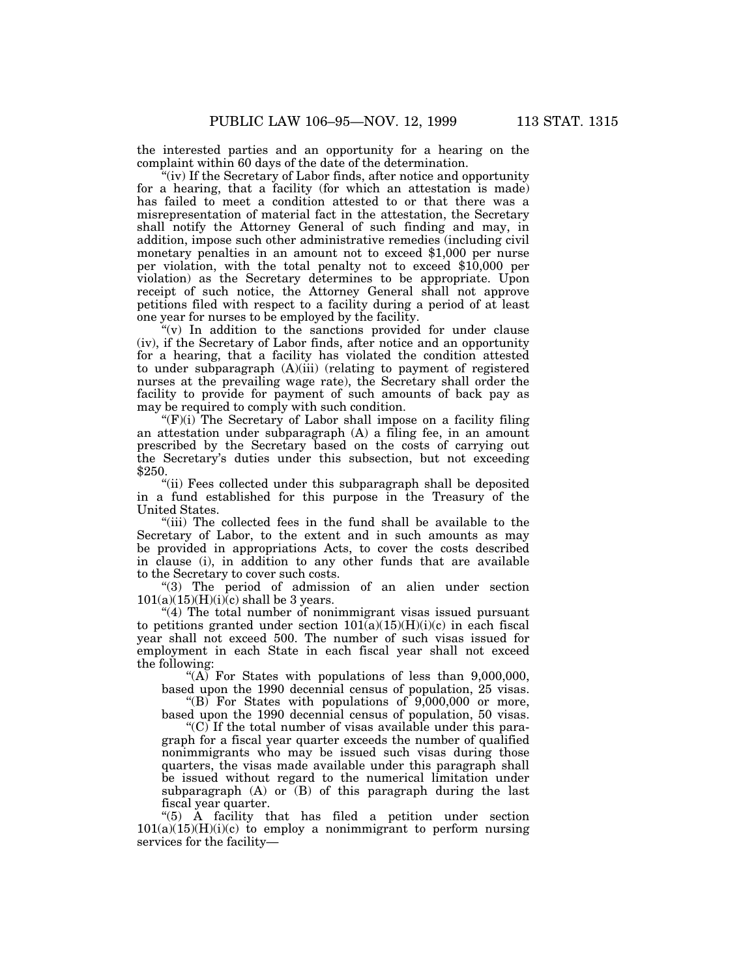the interested parties and an opportunity for a hearing on the complaint within 60 days of the date of the determination.

''(iv) If the Secretary of Labor finds, after notice and opportunity for a hearing, that a facility (for which an attestation is made) has failed to meet a condition attested to or that there was a misrepresentation of material fact in the attestation, the Secretary shall notify the Attorney General of such finding and may, in addition, impose such other administrative remedies (including civil monetary penalties in an amount not to exceed \$1,000 per nurse per violation, with the total penalty not to exceed \$10,000 per violation) as the Secretary determines to be appropriate. Upon receipt of such notice, the Attorney General shall not approve petitions filed with respect to a facility during a period of at least one year for nurses to be employed by the facility.

" $(v)$  In addition to the sanctions provided for under clause (iv), if the Secretary of Labor finds, after notice and an opportunity for a hearing, that a facility has violated the condition attested to under subparagraph  $(A)(iii)$  (relating to payment of registered nurses at the prevailing wage rate), the Secretary shall order the facility to provide for payment of such amounts of back pay as may be required to comply with such condition.

 $f(F)(i)$  The Secretary of Labor shall impose on a facility filing an attestation under subparagraph (A) a filing fee, in an amount prescribed by the Secretary based on the costs of carrying out the Secretary's duties under this subsection, but not exceeding \$250.

"(ii) Fees collected under this subparagraph shall be deposited in a fund established for this purpose in the Treasury of the United States.

"(iii) The collected fees in the fund shall be available to the Secretary of Labor, to the extent and in such amounts as may be provided in appropriations Acts, to cover the costs described in clause (i), in addition to any other funds that are available to the Secretary to cover such costs.

"(3) The period of admission of an alien under section  $101(a)(15)(H)(i)\in)$  shall be 3 years.

"(4) The total number of nonimmigrant visas issued pursuant to petitions granted under section  $101(a)(15)(H)(i)(c)$  in each fiscal year shall not exceed 500. The number of such visas issued for employment in each State in each fiscal year shall not exceed the following:

''(A) For States with populations of less than 9,000,000, based upon the 1990 decennial census of population, 25 visas.

''(B) For States with populations of 9,000,000 or more, based upon the 1990 decennial census of population, 50 visas.

" $(C)$  If the total number of visas available under this paragraph for a fiscal year quarter exceeds the number of qualified nonimmigrants who may be issued such visas during those quarters, the visas made available under this paragraph shall be issued without regard to the numerical limitation under subparagraph (A) or (B) of this paragraph during the last fiscal year quarter.

''(5) A facility that has filed a petition under section  $101(a)(15)(H)(i)c$  to employ a nonimmigrant to perform nursing services for the facility—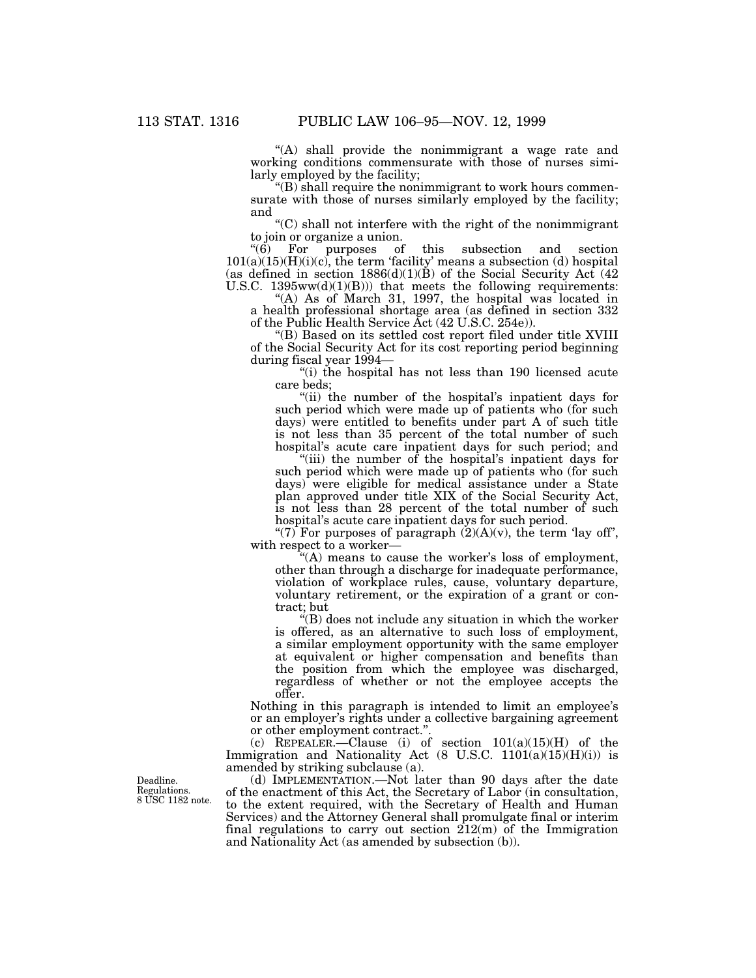"(A) shall provide the nonimmigrant a wage rate and working conditions commensurate with those of nurses similarly employed by the facility;

''(B) shall require the nonimmigrant to work hours commensurate with those of nurses similarly employed by the facility; and

''(C) shall not interfere with the right of the nonimmigrant to join or organize a union.<br>"(6) For purposes of

For purposes of this subsection and section  $101(a)(15)(H)(i)c$ , the term 'facility' means a subsection (d) hospital (as defined in section  $1886(d)(1)(B)$  of the Social Security Act (42) U.S.C.  $1395ww(d)(1)(B))$ ) that meets the following requirements:

''(A) As of March 31, 1997, the hospital was located in a health professional shortage area (as defined in section 332 of the Public Health Service Act (42 U.S.C. 254e)).

''(B) Based on its settled cost report filed under title XVIII of the Social Security Act for its cost reporting period beginning during fiscal year 1994—

''(i) the hospital has not less than 190 licensed acute care beds;

"(ii) the number of the hospital's inpatient days for such period which were made up of patients who (for such days) were entitled to benefits under part A of such title is not less than 35 percent of the total number of such hospital's acute care inpatient days for such period; and

''(iii) the number of the hospital's inpatient days for such period which were made up of patients who (for such days) were eligible for medical assistance under a State plan approved under title XIX of the Social Security Act, is not less than 28 percent of the total number of such hospital's acute care inpatient days for such period.

"(7) For purposes of paragraph  $(2)(A)(v)$ , the term 'lay off', with respect to a worker-

 $f''(A)$  means to cause the worker's loss of employment, other than through a discharge for inadequate performance, violation of workplace rules, cause, voluntary departure, voluntary retirement, or the expiration of a grant or contract; but

''(B) does not include any situation in which the worker is offered, as an alternative to such loss of employment, a similar employment opportunity with the same employer at equivalent or higher compensation and benefits than the position from which the employee was discharged, regardless of whether or not the employee accepts the offer.

Nothing in this paragraph is intended to limit an employee's or an employer's rights under a collective bargaining agreement or other employment contract.''.

(c) REPEALER.—Clause (i) of section  $101(a)(15)(H)$  of the Immigration and Nationality Act  $(8 \text{ U.S.C. } 1101(a)(15)(H)(i))$  is amended by striking subclause (a).

(d) IMPLEMENTATION.—Not later than 90 days after the date of the enactment of this Act, the Secretary of Labor (in consultation, to the extent required, with the Secretary of Health and Human Services) and the Attorney General shall promulgate final or interim final regulations to carry out section  $212(m)$  of the Immigration and Nationality Act (as amended by subsection (b)).

Deadline. Regulations. 8 USC 1182 note.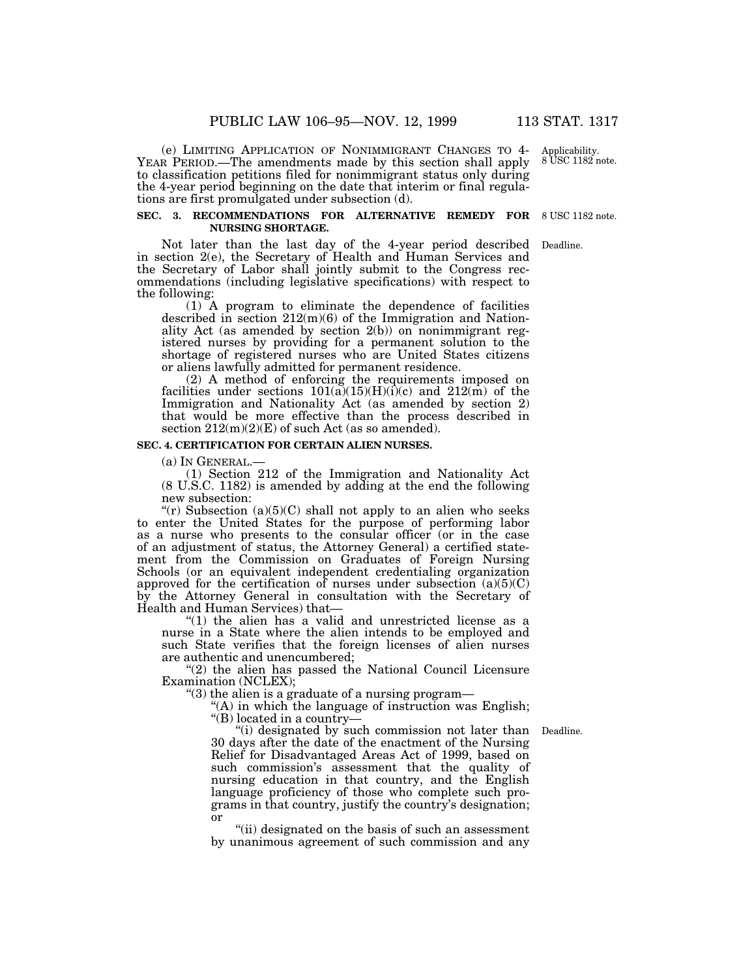Applicability. 8 USC 1182 note.

(e) LIMITING APPLICATION OF NONIMMIGRANT CHANGES TO 4- YEAR PERIOD.—The amendments made by this section shall apply to classification petitions filed for nonimmigrant status only during the 4-year period beginning on the date that interim or final regulations are first promulgated under subsection (d).

#### **SEC. 3. RECOMMENDATIONS FOR ALTERNATIVE REMEDY FOR** 8 USC 1182 note. **NURSING SHORTAGE.**

Not later than the last day of the 4-year period described in section 2(e), the Secretary of Health and Human Services and the Secretary of Labor shall jointly submit to the Congress recommendations (including legislative specifications) with respect to the following:

(1) A program to eliminate the dependence of facilities described in section  $212(m)(6)$  of the Immigration and Nationality Act (as amended by section  $2(b)$ ) on nonimmigrant registered nurses by providing for a permanent solution to the shortage of registered nurses who are United States citizens or aliens lawfully admitted for permanent residence.

(2) A method of enforcing the requirements imposed on facilities under sections  $101(a)(15)(H)(i)(c)$  and  $212(m)$  of the Immigration and Nationality Act (as amended by section 2) that would be more effective than the process described in section 212(m)(2)(E) of such Act (as so amended).

#### **SEC. 4. CERTIFICATION FOR CERTAIN ALIEN NURSES.**

(a) IN GENERAL.— (1) Section 212 of the Immigration and Nationality Act (8 U.S.C. 1182) is amended by adding at the end the following new subsection:

"(r) Subsection  $(a)(5)(C)$  shall not apply to an alien who seeks to enter the United States for the purpose of performing labor as a nurse who presents to the consular officer (or in the case of an adjustment of status, the Attorney General) a certified statement from the Commission on Graduates of Foreign Nursing Schools (or an equivalent independent credentialing organization approved for the certification of nurses under subsection  $(a)(5)(C)$ by the Attorney General in consultation with the Secretary of Health and Human Services) that—

"(1) the alien has a valid and unrestricted license as a nurse in a State where the alien intends to be employed and such State verifies that the foreign licenses of alien nurses are authentic and unencumbered;

 $''(2)$  the alien has passed the National Council Licensure Examination (NCLEX);

''(3) the alien is a graduate of a nursing program—

 $<sup>4</sup>(A)$  in which the language of instruction was English;</sup> ''(B) located in a country—

"(i) designated by such commission not later than Deadline. 30 days after the date of the enactment of the Nursing Relief for Disadvantaged Areas Act of 1999, based on such commission's assessment that the quality of nursing education in that country, and the English language proficiency of those who complete such programs in that country, justify the country's designation; or

"(ii) designated on the basis of such an assessment by unanimous agreement of such commission and any

Deadline.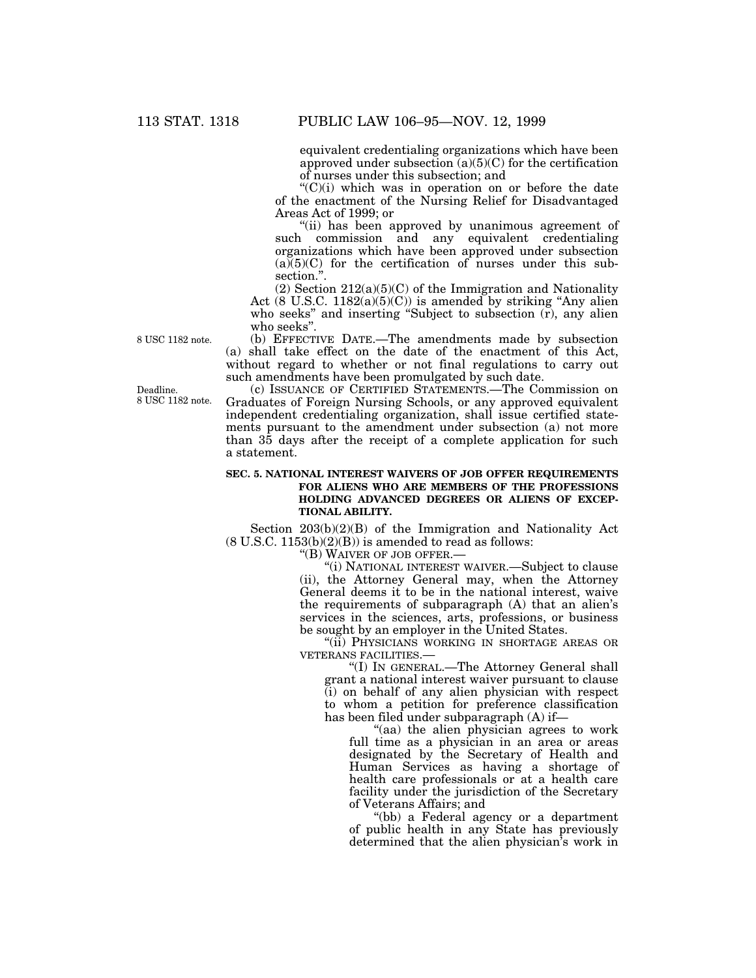equivalent credentialing organizations which have been approved under subsection  $(a)(5)(C)$  for the certification of nurses under this subsection; and

 $(C)(i)$  which was in operation on or before the date of the enactment of the Nursing Relief for Disadvantaged Areas Act of 1999; or

"(ii) has been approved by unanimous agreement of such commission and any equivalent credentialing organizations which have been approved under subsection  $(a)(5)(C)$  for the certification of nurses under this subsection.".

(2) Section 212(a)(5)(C) of the Immigration and Nationality Act  $(8 \text{ U.S.C. } 1182(a)(5)(C))$  is amended by striking "Any alien who seeks" and inserting "Subject to subsection  $(\mathbf{r})$ , any alien who seeks''.

8 USC 1182 note.

(b) EFFECTIVE DATE.—The amendments made by subsection (a) shall take effect on the date of the enactment of this Act, without regard to whether or not final regulations to carry out such amendments have been promulgated by such date.

(c) ISSUANCE OF CERTIFIED STATEMENTS.—The Commission on Graduates of Foreign Nursing Schools, or any approved equivalent independent credentialing organization, shall issue certified statements pursuant to the amendment under subsection (a) not more than 35 days after the receipt of a complete application for such a statement.

## **SEC. 5. NATIONAL INTEREST WAIVERS OF JOB OFFER REQUIREMENTS FOR ALIENS WHO ARE MEMBERS OF THE PROFESSIONS HOLDING ADVANCED DEGREES OR ALIENS OF EXCEP-TIONAL ABILITY.**

Section 203(b)(2)(B) of the Immigration and Nationality Act  $(8 \text{ U.S.C. } 1153(b)(2)(B))$  is amended to read as follows:

''(B) WAIVER OF JOB OFFER.—

''(i) NATIONAL INTEREST WAIVER.—Subject to clause (ii), the Attorney General may, when the Attorney General deems it to be in the national interest, waive the requirements of subparagraph (A) that an alien's services in the sciences, arts, professions, or business be sought by an employer in the United States.

''(ii) PHYSICIANS WORKING IN SHORTAGE AREAS OR VETERANS FACILITIES.—

''(I) IN GENERAL.—The Attorney General shall grant a national interest waiver pursuant to clause (i) on behalf of any alien physician with respect to whom a petition for preference classification has been filed under subparagraph (A) if—

(aa) the alien physician agrees to work full time as a physician in an area or areas designated by the Secretary of Health and Human Services as having a shortage of health care professionals or at a health care facility under the jurisdiction of the Secretary of Veterans Affairs; and

''(bb) a Federal agency or a department of public health in any State has previously determined that the alien physician's work in

Deadline. 8 USC 1182 note.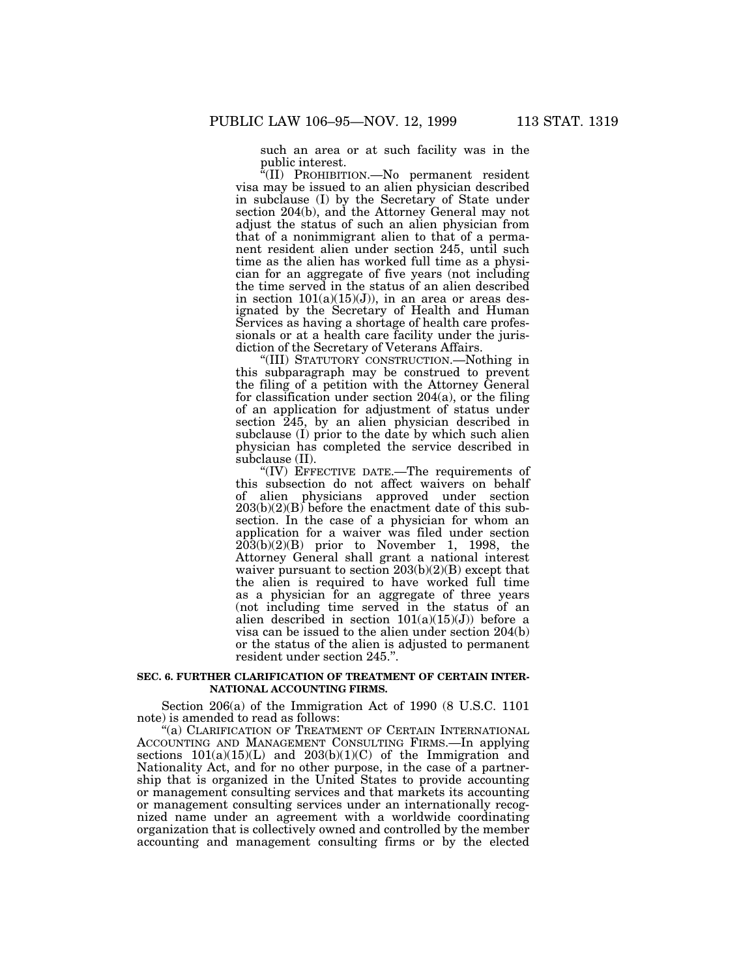such an area or at such facility was in the public interest.

''(II) PROHIBITION.—No permanent resident visa may be issued to an alien physician described in subclause (I) by the Secretary of State under section 204(b), and the Attorney General may not adjust the status of such an alien physician from that of a nonimmigrant alien to that of a permanent resident alien under section 245, until such time as the alien has worked full time as a physician for an aggregate of five years (not including the time served in the status of an alien described in section  $101(a)(15)(J)$ , in an area or areas designated by the Secretary of Health and Human Services as having a shortage of health care professionals or at a health care facility under the jurisdiction of the Secretary of Veterans Affairs.

''(III) STATUTORY CONSTRUCTION.—Nothing in this subparagraph may be construed to prevent the filing of a petition with the Attorney General for classification under section 204(a), or the filing of an application for adjustment of status under section 245, by an alien physician described in subclause (I) prior to the date by which such alien physician has completed the service described in subclause (II).

''(IV) EFFECTIVE DATE.—The requirements of this subsection do not affect waivers on behalf of alien physicians approved under section  $203(b)(2)(B)$  before the enactment date of this subsection. In the case of a physician for whom an application for a waiver was filed under section  $20\overline{3}$ (b)(2)(B) prior to November 1, 1998, the Attorney General shall grant a national interest waiver pursuant to section  $203(b)(2)(B)$  except that the alien is required to have worked full time as a physician for an aggregate of three years (not including time served in the status of an alien described in section  $101(a)(15)(J)$ ) before a visa can be issued to the alien under section 204(b) or the status of the alien is adjusted to permanent resident under section 245.''.

#### **SEC. 6. FURTHER CLARIFICATION OF TREATMENT OF CERTAIN INTER-NATIONAL ACCOUNTING FIRMS.**

Section 206(a) of the Immigration Act of 1990 (8 U.S.C. 1101 note) is amended to read as follows:

"(a) CLARIFICATION OF TREATMENT OF CERTAIN INTERNATIONAL ACCOUNTING AND MANAGEMENT CONSULTING FIRMS.—In applying sections  $101(a)(15)(L)$  and  $203(b)(1)(C)$  of the Immigration and Nationality Act, and for no other purpose, in the case of a partnership that is organized in the United States to provide accounting or management consulting services and that markets its accounting or management consulting services under an internationally recognized name under an agreement with a worldwide coordinating organization that is collectively owned and controlled by the member accounting and management consulting firms or by the elected